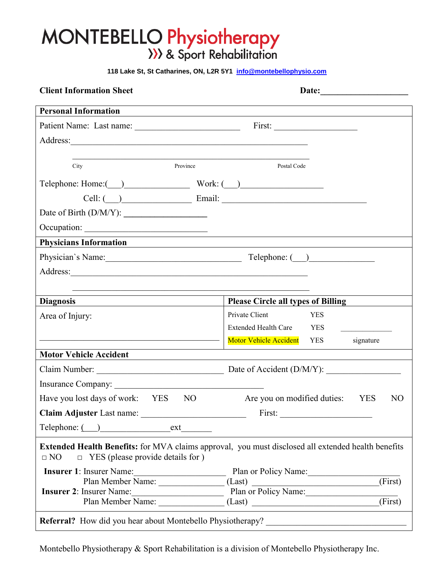# $\mathcal{N}$  Droppert Patient Patient Patient Patient Patient Patient Patient Patient Patient Patient Patient Patient Patient Patient Patient Patient Patient Patient Patient Patient Patient Patient Patient Patient Patient Pat

 **118 Lake St, St Catharines, ON, L2R 5Y1 info@montebellophysio.com**

| <b>Client Information Sheet</b>                                                                                                                                                                                                |                                                                                                                                                                              |  |  |
|--------------------------------------------------------------------------------------------------------------------------------------------------------------------------------------------------------------------------------|------------------------------------------------------------------------------------------------------------------------------------------------------------------------------|--|--|
| <b>Personal Information</b>                                                                                                                                                                                                    | ,我们也不会有什么。""我们的人,我们也不会有什么?""我们的人,我们也不会有什么?""我们的人,我们也不会有什么?""我们的人,我们也不会有什么?""我们的人                                                                                             |  |  |
|                                                                                                                                                                                                                                |                                                                                                                                                                              |  |  |
| Address:                                                                                                                                                                                                                       |                                                                                                                                                                              |  |  |
|                                                                                                                                                                                                                                |                                                                                                                                                                              |  |  |
| Province<br>City                                                                                                                                                                                                               | Postal Code                                                                                                                                                                  |  |  |
| Telephone: Home: ( ) Work: ( )                                                                                                                                                                                                 |                                                                                                                                                                              |  |  |
|                                                                                                                                                                                                                                | Cell: ( ) Email: Email: 2008                                                                                                                                                 |  |  |
|                                                                                                                                                                                                                                |                                                                                                                                                                              |  |  |
|                                                                                                                                                                                                                                |                                                                                                                                                                              |  |  |
| <b>Physicians Information</b>                                                                                                                                                                                                  | <u> 1980 - Johann Stein, marwolaethau (b. 1980)</u><br><u> 1989 - Johann Stein, marwolaethau a bhann an t-Amhain ann an t-Amhain an t-Amhain an t-Amhain an t-Amhain an </u> |  |  |
| Physician's Name: Telephone: ( )                                                                                                                                                                                               |                                                                                                                                                                              |  |  |
|                                                                                                                                                                                                                                |                                                                                                                                                                              |  |  |
|                                                                                                                                                                                                                                |                                                                                                                                                                              |  |  |
| <b>Diagnosis</b>                                                                                                                                                                                                               | <b>Please Circle all types of Billing</b>                                                                                                                                    |  |  |
| Area of Injury:                                                                                                                                                                                                                | Private Client<br><b>YES</b>                                                                                                                                                 |  |  |
|                                                                                                                                                                                                                                | Extended Health Care YES                                                                                                                                                     |  |  |
|                                                                                                                                                                                                                                | Motor Vehicle Accident YES<br>signature                                                                                                                                      |  |  |
| <b>Motor Vehicle Accident</b>                                                                                                                                                                                                  |                                                                                                                                                                              |  |  |
| Claim Number: National Accounts and Accounts and Accounts and Accounts and Accounts and Accounts and Accounts and Accounts and Accounts and Accounts and Accounts and Accounts and Accounts and Accounts and Accounts and Acco | Date of Accident (D/M/Y):                                                                                                                                                    |  |  |
|                                                                                                                                                                                                                                |                                                                                                                                                                              |  |  |
| Have you lost days of work: YES<br>NO                                                                                                                                                                                          | Are you on modified duties:<br>N <sub>O</sub><br><b>YES</b>                                                                                                                  |  |  |
|                                                                                                                                                                                                                                |                                                                                                                                                                              |  |  |
|                                                                                                                                                                                                                                |                                                                                                                                                                              |  |  |
| Extended Health Benefits: for MVA claims approval, you must disclosed all extended health benefits<br>$\Box$ NO<br>$\Box$ YES (please provide details for )                                                                    |                                                                                                                                                                              |  |  |
| <b>Insurer 1: Insurer Name:</b>                                                                                                                                                                                                | Plan or Policy Name:                                                                                                                                                         |  |  |
|                                                                                                                                                                                                                                | Plan Member Name: (Last)<br>Insurer Name: (Pirs Plan or Policy Name: (Firs<br>(First)                                                                                        |  |  |
| Insurer 2: Insurer Name:<br>Plan Member Name:                                                                                                                                                                                  | $\overline{\text{(First)}}$<br>(Last)                                                                                                                                        |  |  |
| <b>Referral?</b> How did you hear about Montebello Physiotherapy?                                                                                                                                                              |                                                                                                                                                                              |  |  |
|                                                                                                                                                                                                                                |                                                                                                                                                                              |  |  |

Montebello Physiotherapy & Sport Rehabilitation is a division of Montebello Physiotherapy Inc.